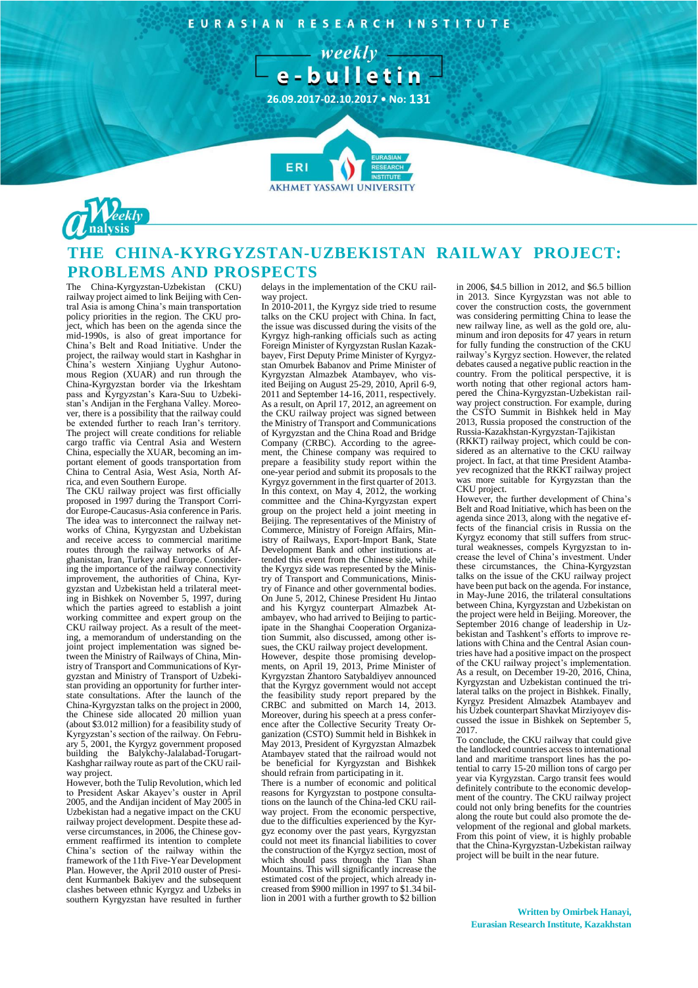EURASIAN RESEARCH INSTITUTE

 $-$  weekly  $$ e-bulletin

**26.09.2017-02.10.2017 • No: 131**

**7**

**FRI** 



## **THE CHINA-KYRGYZSTAN-UZBEKISTAN RAILWAY PROJECT: PROBLEMS AND PROSPECTS**

**AKHMET YASSAWI UNIVERSIT** 

The China-Kyrgyzstan-Uzbekistan (CKU) railway project aimed to link Beijing with Central Asia is among China's main transportation policy priorities in the region. The CKU project, which has been on the agenda since the mid-1990s, is also of great importance for China's Belt and Road Initiative. Under the project, the railway would start in Kashghar in China's western Xinjiang Uyghur Autonomous Region (XUAR) and run through the China-Kyrgyzstan border via the Irkeshtam pass and Kyrgyzstan's Kara-Suu to Uzbekistan's Andijan in the Ferghana Valley. Moreover, there is a possibility that the railway could be extended further to reach Iran's territory. The project will create conditions for reliable cargo traffic via Central Asia and Western China, especially the XUAR, becoming an important element of goods transportation from China to Central Asia, West Asia, North Africa, and even Southern Europe.

The CKU railway project was first officially proposed in 1997 during the Transport Corridor Europe-Caucasus-Asia conference in Paris. The idea was to interconnect the railway networks of China, Kyrgyzstan and Uzbekistan and receive access to commercial maritime routes through the railway networks of Afghanistan, Iran, Turkey and Europe. Considering the importance of the railway connectivity improvement, the authorities of China, Kyrgyzstan and Uzbekistan held a trilateral meeting in Bishkek on November 5, 1997, during which the parties agreed to establish a joint working committee and expert group on the CKU railway project. As a result of the meeting, a memorandum of understanding on the joint project implementation was signed between the Ministry of Railways of China, Ministry of Transport and Communications of Kyrgyzstan and Ministry of Transport of Uzbekistan providing an opportunity for further interstate consultations. After the launch of the China-Kyrgyzstan talks on the project in 2000, the Chinese side allocated 20 million yuan (about \$3.012 million) for a feasibility study of Kyrgyzstan's section of the railway. On February 5, 2001, the Kyrgyz government proposed building the Balykchy-Jalalabad-Torugart-Kashghar railway route as part of the CKU railway project.

However, both the Tulip Revolution, which led to President Askar Akayev's ouster in April 2005, and the Andijan incident of May 2005 in Uzbekistan had a negative impact on the CKU railway project development. Despite these adverse circumstances, in 2006, the Chinese government reaffirmed its intention to complete China's section of the railway within the framework of the 11th Five-Year Development Plan. However, the April 2010 ouster of President Kurmanbek Bakiyev and the subsequent clashes between ethnic Kyrgyz and Uzbeks in southern Kyrgyzstan have resulted in further

delays in the implementation of the CKU railway project.

In 2010-2011, the Kyrgyz side tried to resume talks on the CKU project with China. In fact, the issue was discussed during the visits of the Kyrgyz high-ranking officials such as acting Foreign Minister of Kyrgyzstan Ruslan Kazakbayev, First Deputy Prime Minister of Kyrgyzstan Omurbek Babanov and Prime Minister of Kyrgyzstan Almazbek Atambayev, who visited Beijing on August 25-29, 2010, April 6-9, 2011 and September 14-16, 2011, respectively. As a result, on April 17, 2012, an agreement on the CKU railway project was signed between the Ministry of Transport and Communications of Kyrgyzstan and the China Road and Bridge Company (CRBC). According to the agreement, the Chinese company was required to prepare a feasibility study report within the one-year period and submit its proposals to the Kyrgyz government in the first quarter of 2013. In this context, on May 4, 2012, the working committee and the China-Kyrgyzstan expert group on the project held a joint meeting in Beijing. The representatives of the Ministry of Commerce, Ministry of Foreign Affairs, Ministry of Railways, Export-Import Bank, State Development Bank and other institutions attended this event from the Chinese side, while the Kyrgyz side was represented by the Ministry of Transport and Communications, Ministry of Finance and other governmental bodies. On June 5, 2012, Chinese President Hu Jintao and his Kyrgyz counterpart Almazbek Atambayev, who had arrived to Beijing to participate in the Shanghai Cooperation Organization Summit, also discussed, among other issues, the CKU railway project development. However, despite those promising developments, on April 19, 2013, Prime Minister of Kyrgyzstan Zhantoro Satybaldiyev announced that the Kyrgyz government would not accept the feasibility study report prepared by the CRBC and submitted on March 14, 2013. Moreover, during his speech at a press conference after the Collective Security Treaty Organization (CSTO) Summit held in Bishkek in May 2013, President of Kyrgyzstan Almazbek Atambayev stated that the railroad would not be beneficial for Kyrgyzstan and Bishkek should refrain from participating in it. There is a number of economic and political reasons for Kyrgyzstan to postpone consultations on the launch of the China-led CKU rail-

way project. From the economic perspective, due to the difficulties experienced by the Kyrgyz economy over the past years, Kyrgyzstan could not meet its financial liabilities to cover the construction of the Kyrgyz section, most of which should pass through the Tian Shan Mountains. This will significantly increase the estimated cost of the project, which already increased from \$900 million in 1997 to \$1.34 billion in 2001 with a further growth to \$2 billion

in 2006, \$4.5 billion in 2012, and \$6.5 billion in 2013. Since Kyrgyzstan was not able to cover the construction costs, the government was considering permitting China to lease the new railway line, as well as the gold ore, aluminum and iron deposits for 47 years in return for fully funding the construction of the CKU railway's Kyrgyz section. However, the related debates caused a negative public reaction in the country. From the political perspective, it is worth noting that other regional actors hampered the China-Kyrgyzstan-Uzbekistan railway project construction. For example, during the CSTO Summit in Bishkek held in May 2013, Russia proposed the construction of the Russia-Kazakhstan-Kyrgyzstan-Tajikistan (RKKT) railway project, which could be con-

sidered as an alternative to the CKU railway project. In fact, at that time President Atambayev recognized that the RKKT railway project was more suitable for Kyrgyzstan than the CKU project.

However, the further development of China's Belt and Road Initiative, which has been on the agenda since 2013, along with the negative effects of the financial crisis in Russia on the Kyrgyz economy that still suffers from structural weaknesses, compels Kyrgyzstan to increase the level of China's investment. Under these circumstances, the China-Kyrgyzstan talks on the issue of the CKU railway project have been put back on the agenda. For instance, in May-June 2016, the trilateral consultations between China, Kyrgyzstan and Uzbekistan on the project were held in Beijing. Moreover, the September 2016 change of leadership in Uzbekistan and Tashkent's efforts to improve relations with China and the Central Asian countries have had a positive impact on the prospect of the CKU railway project's implementation. As a result, on December 19-20, 2016, China, Kyrgyzstan and Uzbekistan continued the trilateral talks on the project in Bishkek. Finally, Kyrgyz President Almazbek Atambayev and his Uzbek counterpart Shavkat Mirziyoyev discussed the issue in Bishkek on September 5, 2017.

To conclude, the CKU railway that could give the landlocked countries access to international land and maritime transport lines has the potential to carry 15-20 million tons of cargo per year via Kyrgyzstan. Cargo transit fees would definitely contribute to the economic development of the country. The CKU railway project could not only bring benefits for the countries along the route but could also promote the development of the regional and global markets. From this point of view, it is highly probable that the China-Kyrgyzstan-Uzbekistan railway project will be built in the near future.